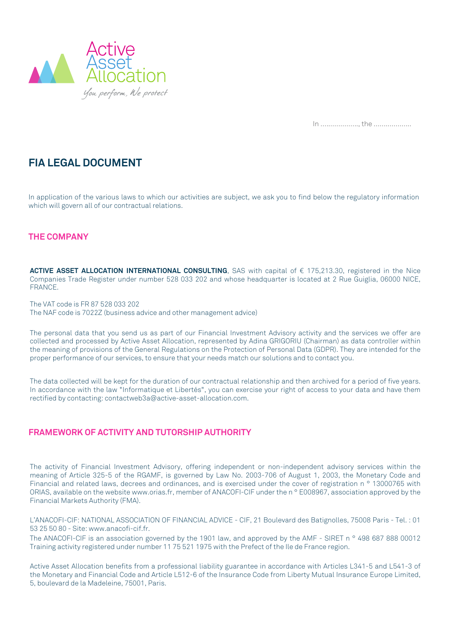

You perform, We protect

In …..………….., the ……..………..

In application of the various laws to which our activities are subject, we ask you to find below the regulatory information which will govern all of our contractual relations.

**ACTIVE ASSET ALLOCATION INTERNATIONAL CONSULTING**, SAS with capital of € 175,213.30, registered in the Nice Companies Trade Register under number 528 033 202 and whose headquarter is located at 2 Rue Guiglia, 06000 NICE, FRANCE.

The VAT code is FR 87 528 033 202 The NAF code is 7022Z (business advice and other management advice)

The activity of Financial Investment Advisory, offering independent or non-independent advisory services within the meaning of Article 325-5 of the RGAMF, is governed by Law No. 2003-706 of August 1, 2003, the Monetary Code and Financial and related laws, decrees and ordinances, and is exercised under the cover of registration n<sup>o</sup> 13000765 with

The personal data that you send us as part of our Financial Investment Advisory activity and the services we offer are collected and processed by Active Asset Allocation, represented by Adina GRIGORIU (Chairman) as data controller within the meaning of provisions of the General Regulations on the Protection of Personal Data (GDPR). They are intended for the proper performance of our services, to ensure that your needs match our solutions and to contact you.

The ANACOFI-CIF is an association governed by the 1901 law, and approved by the AMF - SIRET n ° 498 687 888 00012 Training activity registered under number 11 75 521 1975 with the Prefect of the Ile de France region.

The data collected will be kept for the duration of our contractual relationship and then archived for a period of five years. In accordance with the law "Informatique et Libertés", you can exercise your right of access to your data and have them rectified by contacting: contactweb3a@active-asset-allocation.com.

## **THE COMPANY**

# **FRAMEWORK OF ACTIVITY AND TUTORSHIP AUTHORITY**

ORIAS, available on the website www.orias.fr, member of ANACOFI-CIF under the n ° E008967, association approved by the Financial Markets Authority (FMA).

L'ANACOFI-CIF: NATIONAL ASSOCIATION OF FINANCIAL ADVICE - CIF, 21 Boulevard des Batignolles, 75008 Paris - Tel. : 01 53 25 50 80 - Site: www.anacofi-cif.fr.

Active Asset Allocation benefits from a professional liability guarantee in accordance with Articles L341-5 and L541-3 of the Monetary and Financial Code and Article L512-6 of the Insurance Code from Liberty Mutual Insurance Europe Limited, 5, boulevard de la Madeleine, 75001, Paris.

# **FIA LEGAL DOCUMENT**